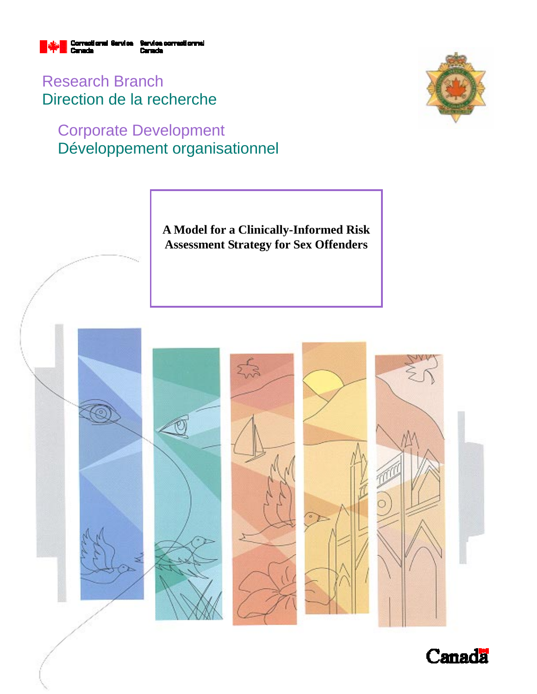

Research Branch Direction de la recherche

# Corporate Development Développement organisationnel



**A Model for a Clinically-Informed Risk Assessment Strategy for Sex Offenders** 



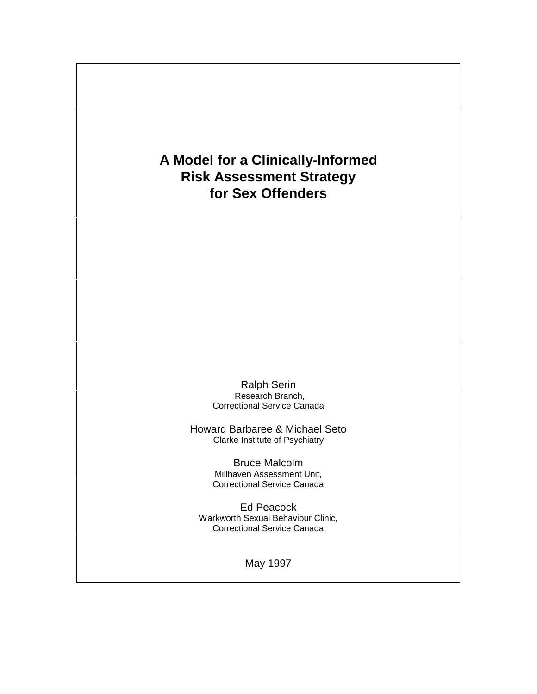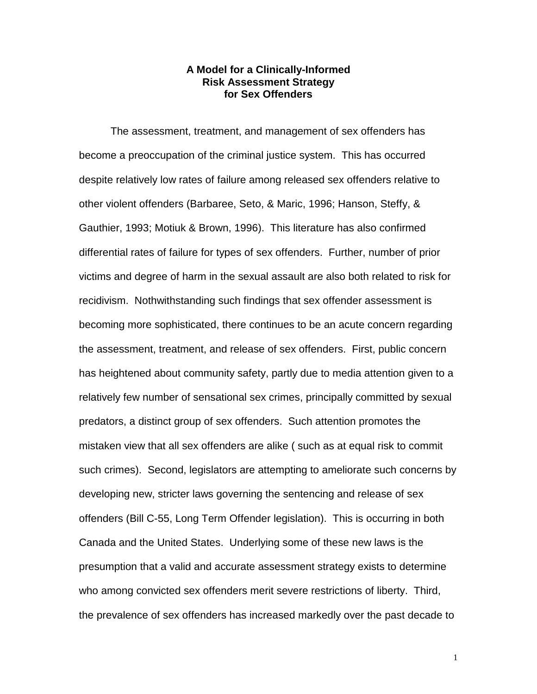#### **A Model for a Clinically-Informed Risk Assessment Strategy for Sex Offenders**

The assessment, treatment, and management of sex offenders has become a preoccupation of the criminal justice system. This has occurred despite relatively low rates of failure among released sex offenders relative to other violent offenders (Barbaree, Seto, & Maric, 1996; Hanson, Steffy, & Gauthier, 1993; Motiuk & Brown, 1996). This literature has also confirmed differential rates of failure for types of sex offenders. Further, number of prior victims and degree of harm in the sexual assault are also both related to risk for recidivism. Nothwithstanding such findings that sex offender assessment is becoming more sophisticated, there continues to be an acute concern regarding the assessment, treatment, and release of sex offenders. First, public concern has heightened about community safety, partly due to media attention given to a relatively few number of sensational sex crimes, principally committed by sexual predators, a distinct group of sex offenders. Such attention promotes the mistaken view that all sex offenders are alike ( such as at equal risk to commit such crimes). Second, legislators are attempting to ameliorate such concerns by developing new, stricter laws governing the sentencing and release of sex offenders (Bill C-55, Long Term Offender legislation). This is occurring in both Canada and the United States. Underlying some of these new laws is the presumption that a valid and accurate assessment strategy exists to determine who among convicted sex offenders merit severe restrictions of liberty. Third, the prevalence of sex offenders has increased markedly over the past decade to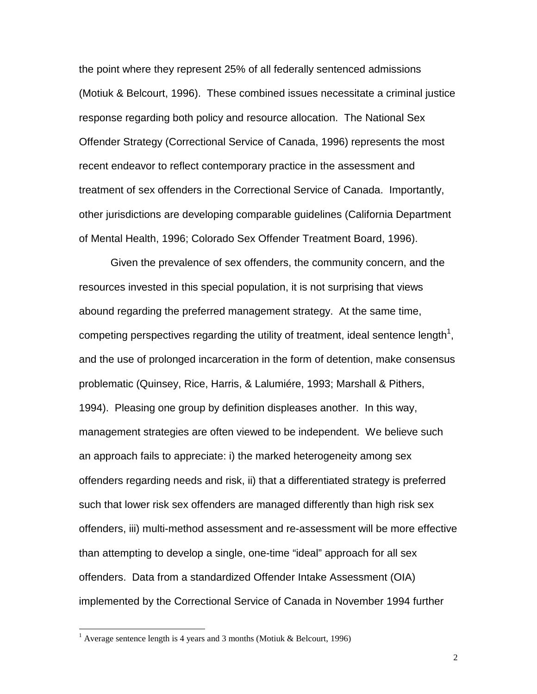the point where they represent 25% of all federally sentenced admissions (Motiuk & Belcourt, 1996). These combined issues necessitate a criminal justice response regarding both policy and resource allocation. The National Sex Offender Strategy (Correctional Service of Canada, 1996) represents the most recent endeavor to reflect contemporary practice in the assessment and treatment of sex offenders in the Correctional Service of Canada. Importantly, other jurisdictions are developing comparable guidelines (California Department of Mental Health, 1996; Colorado Sex Offender Treatment Board, 1996).

Given the prevalence of sex offenders, the community concern, and the resources invested in this special population, it is not surprising that views abound regarding the preferred management strategy. At the same time, competing perspectives regarding the utility of treatment, ideal sentence length<sup>1</sup>, and the use of prolonged incarceration in the form of detention, make consensus problematic (Quinsey, Rice, Harris, & Lalumiére, 1993; Marshall & Pithers, 1994). Pleasing one group by definition displeases another. In this way, management strategies are often viewed to be independent. We believe such an approach fails to appreciate: i) the marked heterogeneity among sex offenders regarding needs and risk, ii) that a differentiated strategy is preferred such that lower risk sex offenders are managed differently than high risk sex offenders, iii) multi-method assessment and re-assessment will be more effective than attempting to develop a single, one-time "ideal" approach for all sex offenders. Data from a standardized Offender Intake Assessment (OIA) implemented by the Correctional Service of Canada in November 1994 further

 $\overline{a}$ 

<sup>&</sup>lt;sup>1</sup> Average sentence length is 4 years and 3 months (Motiuk & Belcourt, 1996)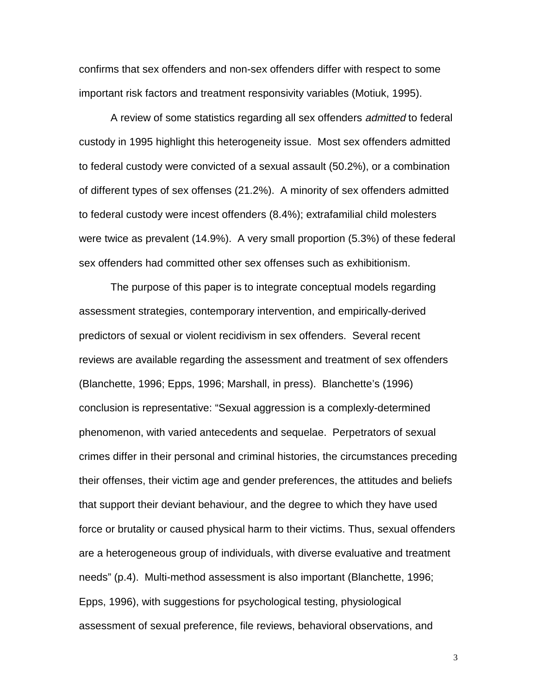confirms that sex offenders and non-sex offenders differ with respect to some important risk factors and treatment responsivity variables (Motiuk, 1995).

A review of some statistics regarding all sex offenders *admitted* to federal custody in 1995 highlight this heterogeneity issue. Most sex offenders admitted to federal custody were convicted of a sexual assault (50.2%), or a combination of different types of sex offenses (21.2%). A minority of sex offenders admitted to federal custody were incest offenders (8.4%); extrafamilial child molesters were twice as prevalent (14.9%). A very small proportion (5.3%) of these federal sex offenders had committed other sex offenses such as exhibitionism.

The purpose of this paper is to integrate conceptual models regarding assessment strategies, contemporary intervention, and empirically-derived predictors of sexual or violent recidivism in sex offenders. Several recent reviews are available regarding the assessment and treatment of sex offenders (Blanchette, 1996; Epps, 1996; Marshall, in press). Blanchette's (1996) conclusion is representative: "Sexual aggression is a complexly-determined phenomenon, with varied antecedents and sequelae. Perpetrators of sexual crimes differ in their personal and criminal histories, the circumstances preceding their offenses, their victim age and gender preferences, the attitudes and beliefs that support their deviant behaviour, and the degree to which they have used force or brutality or caused physical harm to their victims. Thus, sexual offenders are a heterogeneous group of individuals, with diverse evaluative and treatment needs" (p.4). Multi-method assessment is also important (Blanchette, 1996; Epps, 1996), with suggestions for psychological testing, physiological assessment of sexual preference, file reviews, behavioral observations, and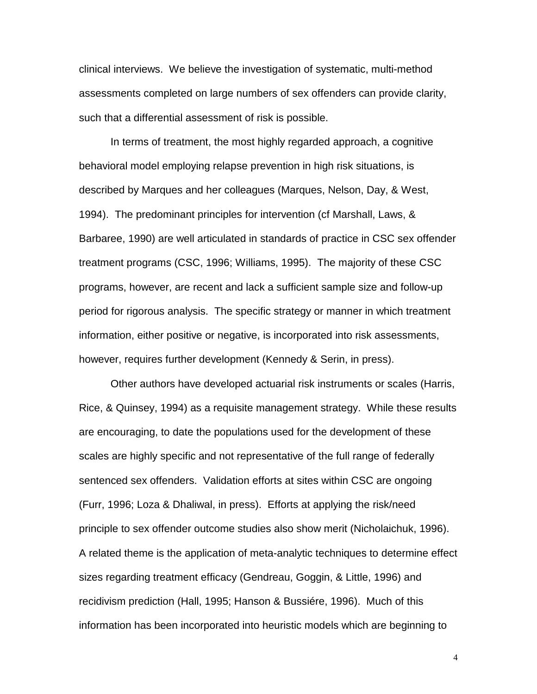clinical interviews. We believe the investigation of systematic, multi-method assessments completed on large numbers of sex offenders can provide clarity, such that a differential assessment of risk is possible.

In terms of treatment, the most highly regarded approach, a cognitive behavioral model employing relapse prevention in high risk situations, is described by Marques and her colleagues (Marques, Nelson, Day, & West, 1994). The predominant principles for intervention (cf Marshall, Laws, & Barbaree, 1990) are well articulated in standards of practice in CSC sex offender treatment programs (CSC, 1996; Williams, 1995). The majority of these CSC programs, however, are recent and lack a sufficient sample size and follow-up period for rigorous analysis. The specific strategy or manner in which treatment information, either positive or negative, is incorporated into risk assessments, however, requires further development (Kennedy & Serin, in press).

Other authors have developed actuarial risk instruments or scales (Harris, Rice, & Quinsey, 1994) as a requisite management strategy. While these results are encouraging, to date the populations used for the development of these scales are highly specific and not representative of the full range of federally sentenced sex offenders. Validation efforts at sites within CSC are ongoing (Furr, 1996; Loza & Dhaliwal, in press). Efforts at applying the risk/need principle to sex offender outcome studies also show merit (Nicholaichuk, 1996). A related theme is the application of meta-analytic techniques to determine effect sizes regarding treatment efficacy (Gendreau, Goggin, & Little, 1996) and recidivism prediction (Hall, 1995; Hanson & Bussiére, 1996). Much of this information has been incorporated into heuristic models which are beginning to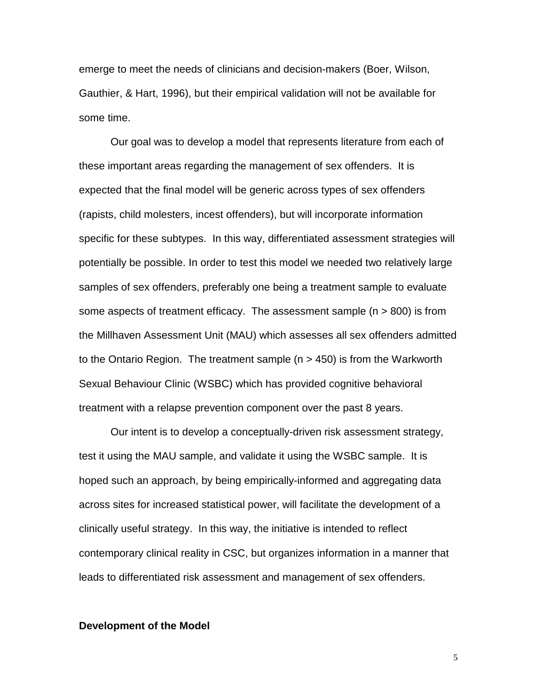emerge to meet the needs of clinicians and decision-makers (Boer, Wilson, Gauthier, & Hart, 1996), but their empirical validation will not be available for some time.

Our goal was to develop a model that represents literature from each of these important areas regarding the management of sex offenders. It is expected that the final model will be generic across types of sex offenders (rapists, child molesters, incest offenders), but will incorporate information specific for these subtypes. In this way, differentiated assessment strategies will potentially be possible. In order to test this model we needed two relatively large samples of sex offenders, preferably one being a treatment sample to evaluate some aspects of treatment efficacy. The assessment sample (n > 800) is from the Millhaven Assessment Unit (MAU) which assesses all sex offenders admitted to the Ontario Region. The treatment sample (n > 450) is from the Warkworth Sexual Behaviour Clinic (WSBC) which has provided cognitive behavioral treatment with a relapse prevention component over the past 8 years.

Our intent is to develop a conceptually-driven risk assessment strategy, test it using the MAU sample, and validate it using the WSBC sample. It is hoped such an approach, by being empirically-informed and aggregating data across sites for increased statistical power, will facilitate the development of a clinically useful strategy. In this way, the initiative is intended to reflect contemporary clinical reality in CSC, but organizes information in a manner that leads to differentiated risk assessment and management of sex offenders.

#### **Development of the Model**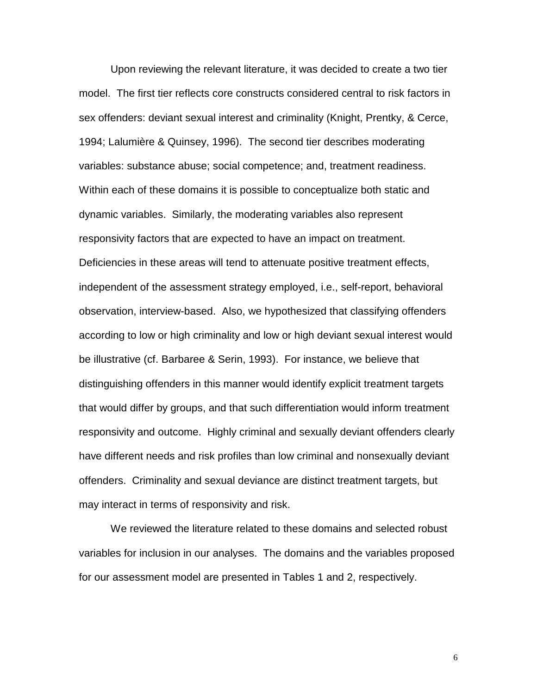Upon reviewing the relevant literature, it was decided to create a two tier model. The first tier reflects core constructs considered central to risk factors in sex offenders: deviant sexual interest and criminality (Knight, Prentky, & Cerce, 1994; Lalumière & Quinsey, 1996). The second tier describes moderating variables: substance abuse; social competence; and, treatment readiness. Within each of these domains it is possible to conceptualize both static and dynamic variables. Similarly, the moderating variables also represent responsivity factors that are expected to have an impact on treatment. Deficiencies in these areas will tend to attenuate positive treatment effects, independent of the assessment strategy employed, i.e., self-report, behavioral observation, interview-based. Also, we hypothesized that classifying offenders according to low or high criminality and low or high deviant sexual interest would be illustrative (cf. Barbaree & Serin, 1993). For instance, we believe that distinguishing offenders in this manner would identify explicit treatment targets that would differ by groups, and that such differentiation would inform treatment responsivity and outcome. Highly criminal and sexually deviant offenders clearly have different needs and risk profiles than low criminal and nonsexually deviant offenders. Criminality and sexual deviance are distinct treatment targets, but may interact in terms of responsivity and risk.

We reviewed the literature related to these domains and selected robust variables for inclusion in our analyses. The domains and the variables proposed for our assessment model are presented in Tables 1 and 2, respectively.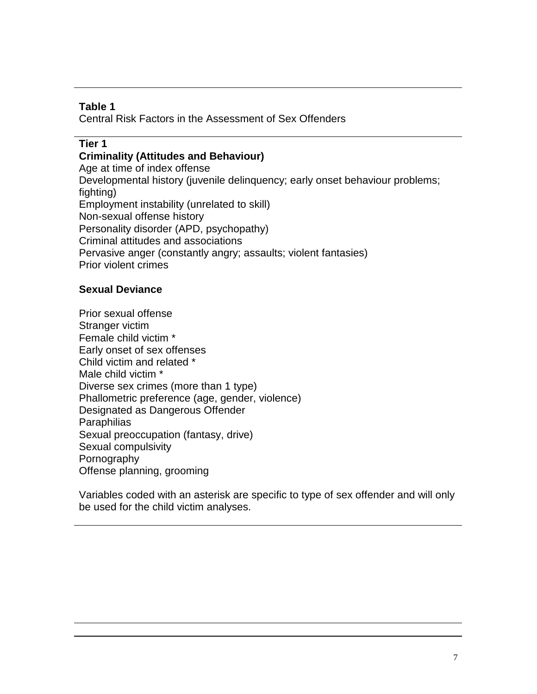## **Table 1**

Central Risk Factors in the Assessment of Sex Offenders

#### **Tier 1**

**Criminality (Attitudes and Behaviour)**

Age at time of index offense Developmental history (juvenile delinquency; early onset behaviour problems; fighting) Employment instability (unrelated to skill) Non-sexual offense history Personality disorder (APD, psychopathy) Criminal attitudes and associations Pervasive anger (constantly angry; assaults; violent fantasies) Prior violent crimes

## **Sexual Deviance**

Prior sexual offense Stranger victim Female child victim \* Early onset of sex offenses Child victim and related \* Male child victim \* Diverse sex crimes (more than 1 type) Phallometric preference (age, gender, violence) Designated as Dangerous Offender **Paraphilias** Sexual preoccupation (fantasy, drive) Sexual compulsivity Pornography Offense planning, grooming

Variables coded with an asterisk are specific to type of sex offender and will only be used for the child victim analyses.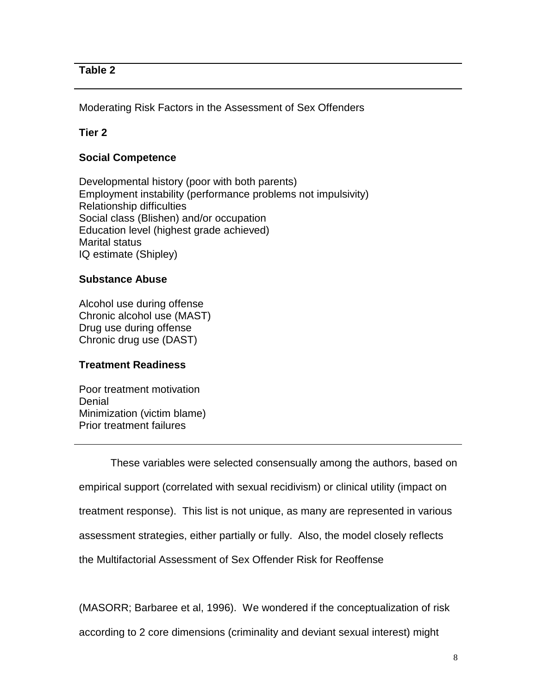## **Table 2**

Moderating Risk Factors in the Assessment of Sex Offenders

## **Tier 2**

## **Social Competence**

Developmental history (poor with both parents) Employment instability (performance problems not impulsivity) Relationship difficulties Social class (Blishen) and/or occupation Education level (highest grade achieved) Marital status IQ estimate (Shipley)

#### **Substance Abuse**

Alcohol use during offense Chronic alcohol use (MAST) Drug use during offense Chronic drug use (DAST)

#### **Treatment Readiness**

Poor treatment motivation **Denial** Minimization (victim blame) Prior treatment failures

These variables were selected consensually among the authors, based on empirical support (correlated with sexual recidivism) or clinical utility (impact on treatment response). This list is not unique, as many are represented in various assessment strategies, either partially or fully. Also, the model closely reflects the Multifactorial Assessment of Sex Offender Risk for Reoffense

(MASORR; Barbaree et al, 1996). We wondered if the conceptualization of risk according to 2 core dimensions (criminality and deviant sexual interest) might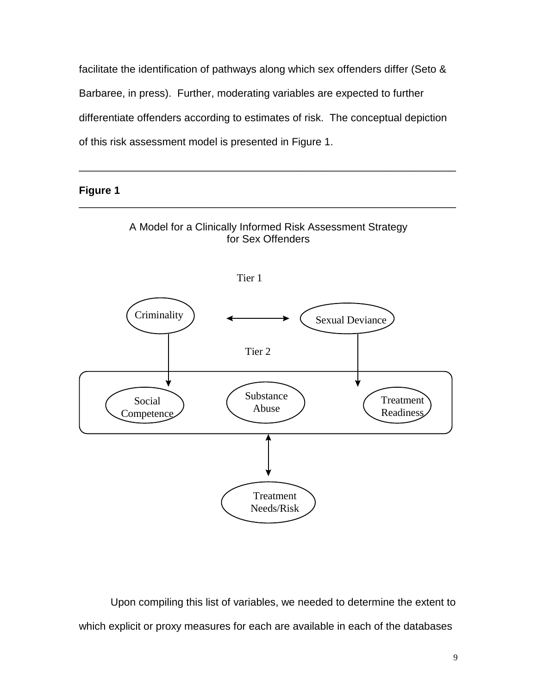facilitate the identification of pathways along which sex offenders differ (Seto & Barbaree, in press). Further, moderating variables are expected to further differentiate offenders according to estimates of risk. The conceptual depiction of this risk assessment model is presented in Figure 1.

\_\_\_\_\_\_\_\_\_\_\_\_\_\_\_\_\_\_\_\_\_\_\_\_\_\_\_\_\_\_\_\_\_\_\_\_\_\_\_\_\_\_\_\_\_\_\_\_\_\_\_\_\_\_\_\_\_\_\_\_\_\_\_\_

**Figure 1**



Upon compiling this list of variables, we needed to determine the extent to which explicit or proxy measures for each are available in each of the databases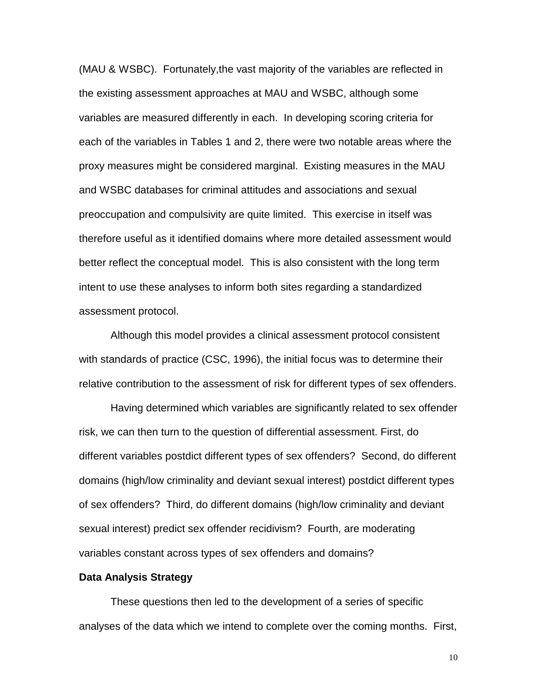(MAU & WSBC). Fortunately,the vast majority of the variables are reflected in the existing assessment approaches at MAU and WSBC, although some variables are measured differently in each. In developing scoring criteria for each of the variables in Tables 1 and 2, there were two notable areas where the proxy measures might be considered marginal. Existing measures in the MAU and WSBC databases for criminal attitudes and associations and sexual preoccupation and compulsivity are quite limited. This exercise in itself was therefore useful as it identified domains where more detailed assessment would better reflect the conceptual model. This is also consistent with the long term intent to use these analyses to inform both sites regarding a standardized assessment protocol.

Although this model provides a clinical assessment protocol consistent with standards of practice (CSC, 1996), the initial focus was to determine their relative contribution to the assessment of risk for different types of sex offenders.

Having determined which variables are significantly related to sex offender risk, we can then turn to the question of differential assessment. First, do different variables postdict different types of sex offenders? Second, do different domains (high/low criminality and deviant sexual interest) postdict different types of sex offenders? Third, do different domains (high/low criminality and deviant sexual interest) predict sex offender recidivism? Fourth, are moderating variables constant across types of sex offenders and domains?

#### **Data Analysis Strategy**

These questions then led to the development of a series of specific analyses of the data which we intend to complete over the coming months. First,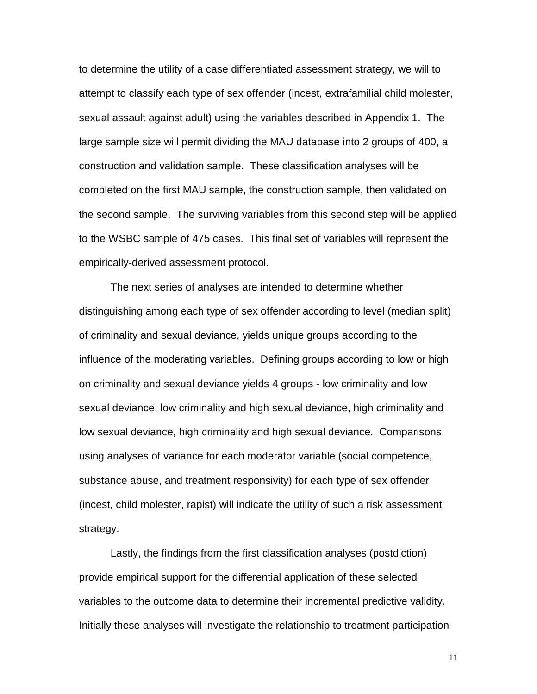to determine the utility of a case differentiated assessment strategy, we will to attempt to classify each type of sex offender (incest, extrafamilial child molester, sexual assault against adult) using the variables described in Appendix 1. The large sample size will permit dividing the MAU database into 2 groups of 400, a construction and validation sample. These classification analyses will be completed on the first MAU sample, the construction sample, then validated on the second sample. The surviving variables from this second step will be applied to the WSBC sample of 475 cases. This final set of variables will represent the empirically-derived assessment protocol.

The next series of analyses are intended to determine whether distinguishing among each type of sex offender according to level (median split) of criminality and sexual deviance, yields unique groups according to the influence of the moderating variables. Defining groups according to low or high on criminality and sexual deviance yields 4 groups - low criminality and low sexual deviance, low criminality and high sexual deviance, high criminality and low sexual deviance, high criminality and high sexual deviance. Comparisons using analyses of variance for each moderator variable (social competence, substance abuse, and treatment responsivity) for each type of sex offender (incest, child molester, rapist) will indicate the utility of such a risk assessment strategy.

Lastly, the findings from the first classification analyses (postdiction) provide empirical support for the differential application of these selected variables to the outcome data to determine their incremental predictive validity. Initially these analyses will investigate the relationship to treatment participation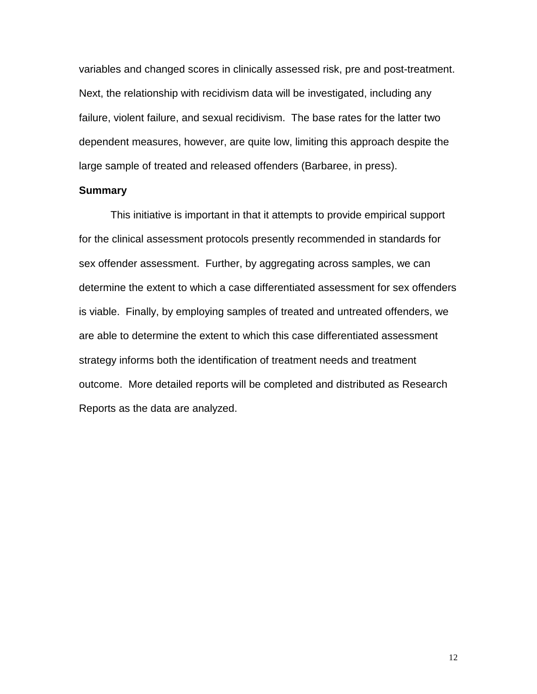variables and changed scores in clinically assessed risk, pre and post-treatment. Next, the relationship with recidivism data will be investigated, including any failure, violent failure, and sexual recidivism. The base rates for the latter two dependent measures, however, are quite low, limiting this approach despite the large sample of treated and released offenders (Barbaree, in press).

#### **Summary**

This initiative is important in that it attempts to provide empirical support for the clinical assessment protocols presently recommended in standards for sex offender assessment. Further, by aggregating across samples, we can determine the extent to which a case differentiated assessment for sex offenders is viable. Finally, by employing samples of treated and untreated offenders, we are able to determine the extent to which this case differentiated assessment strategy informs both the identification of treatment needs and treatment outcome. More detailed reports will be completed and distributed as Research Reports as the data are analyzed.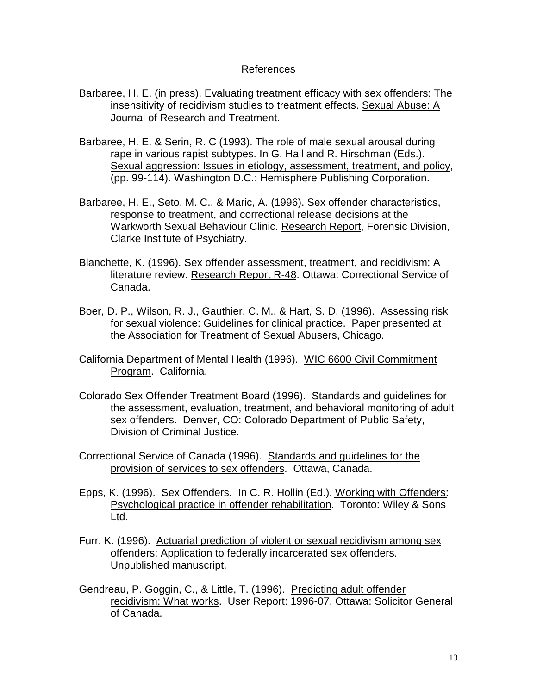#### References

- Barbaree, H. E. (in press). Evaluating treatment efficacy with sex offenders: The insensitivity of recidivism studies to treatment effects. Sexual Abuse: A Journal of Research and Treatment.
- Barbaree, H. E. & Serin, R. C (1993). The role of male sexual arousal during rape in various rapist subtypes. In G. Hall and R. Hirschman (Eds.). Sexual aggression: Issues in etiology, assessment, treatment, and policy, (pp. 99-114). Washington D.C.: Hemisphere Publishing Corporation.
- Barbaree, H. E., Seto, M. C., & Maric, A. (1996). Sex offender characteristics, response to treatment, and correctional release decisions at the Warkworth Sexual Behaviour Clinic. Research Report, Forensic Division, Clarke Institute of Psychiatry.
- Blanchette, K. (1996). Sex offender assessment, treatment, and recidivism: A literature review. Research Report R-48. Ottawa: Correctional Service of Canada.
- Boer, D. P., Wilson, R. J., Gauthier, C. M., & Hart, S. D. (1996). Assessing risk for sexual violence: Guidelines for clinical practice. Paper presented at the Association for Treatment of Sexual Abusers, Chicago.
- California Department of Mental Health (1996). WIC 6600 Civil Commitment Program. California.
- Colorado Sex Offender Treatment Board (1996). Standards and guidelines for the assessment, evaluation, treatment, and behavioral monitoring of adult sex offenders. Denver, CO: Colorado Department of Public Safety, Division of Criminal Justice.
- Correctional Service of Canada (1996). Standards and guidelines for the provision of services to sex offenders. Ottawa, Canada.
- Epps, K. (1996). Sex Offenders. In C. R. Hollin (Ed.). Working with Offenders: Psychological practice in offender rehabilitation. Toronto: Wiley & Sons Ltd.
- Furr, K. (1996). Actuarial prediction of violent or sexual recidivism among sex offenders: Application to federally incarcerated sex offenders. Unpublished manuscript.
- Gendreau, P. Goggin, C., & Little, T. (1996). Predicting adult offender recidivism: What works. User Report: 1996-07, Ottawa: Solicitor General of Canada.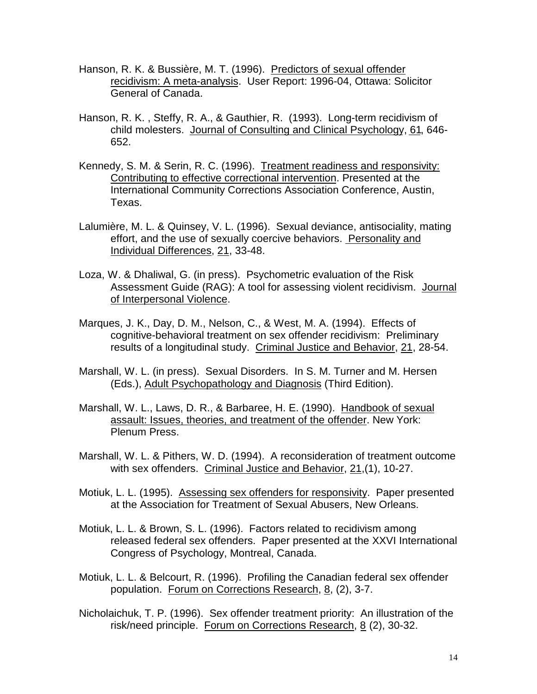- Hanson, R. K. & Bussière, M. T. (1996). Predictors of sexual offender recidivism: A meta-analysis. User Report: 1996-04, Ottawa: Solicitor General of Canada.
- Hanson, R. K. , Steffy, R. A., & Gauthier, R. (1993). Long-term recidivism of child molesters. Journal of Consulting and Clinical Psychology, 61, 646- 652.
- Kennedy, S. M. & Serin, R. C. (1996). Treatment readiness and responsivity: Contributing to effective correctional intervention. Presented at the International Community Corrections Association Conference, Austin, Texas.
- Lalumière, M. L. & Quinsey, V. L. (1996). Sexual deviance, antisociality, mating effort, and the use of sexually coercive behaviors. Personality and Individual Differences, 21, 33-48.
- Loza, W. & Dhaliwal, G. (in press). Psychometric evaluation of the Risk Assessment Guide (RAG): A tool for assessing violent recidivism. Journal of Interpersonal Violence.
- Marques, J. K., Day, D. M., Nelson, C., & West, M. A. (1994). Effects of cognitive-behavioral treatment on sex offender recidivism: Preliminary results of a longitudinal study. Criminal Justice and Behavior, 21, 28-54.
- Marshall, W. L. (in press). Sexual Disorders. In S. M. Turner and M. Hersen (Eds.), Adult Psychopathology and Diagnosis (Third Edition).
- Marshall, W. L., Laws, D. R., & Barbaree, H. E. (1990). Handbook of sexual assault: Issues, theories, and treatment of the offender. New York: Plenum Press.
- Marshall, W. L. & Pithers, W. D. (1994). A reconsideration of treatment outcome with sex offenders. Criminal Justice and Behavior, 21,(1), 10-27.
- Motiuk, L. L. (1995). Assessing sex offenders for responsivity. Paper presented at the Association for Treatment of Sexual Abusers, New Orleans.
- Motiuk, L. L. & Brown, S. L. (1996). Factors related to recidivism among released federal sex offenders. Paper presented at the XXVI International Congress of Psychology, Montreal, Canada.
- Motiuk, L. L. & Belcourt, R. (1996). Profiling the Canadian federal sex offender population. Forum on Corrections Research, 8, (2), 3-7.
- Nicholaichuk, T. P. (1996). Sex offender treatment priority: An illustration of the risk/need principle. Forum on Corrections Research, 8 (2), 30-32.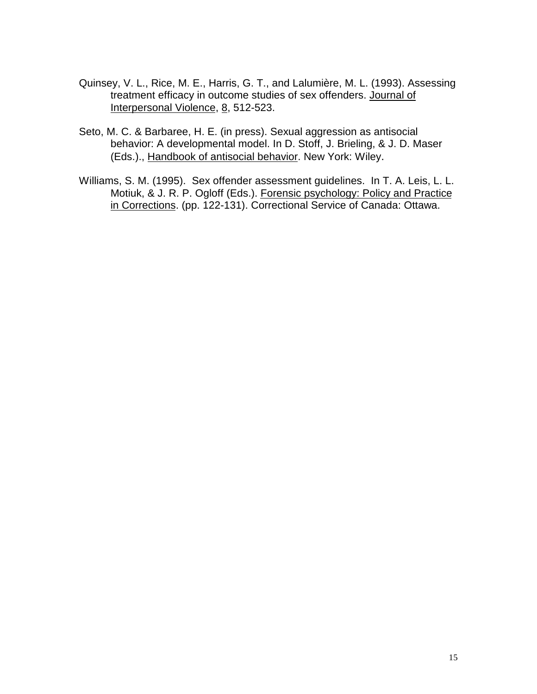- Quinsey, V. L., Rice, M. E., Harris, G. T., and Lalumière, M. L. (1993). Assessing treatment efficacy in outcome studies of sex offenders. Journal of Interpersonal Violence, 8, 512-523.
- Seto, M. C. & Barbaree, H. E. (in press). Sexual aggression as antisocial behavior: A developmental model. In D. Stoff, J. Brieling, & J. D. Maser (Eds.)., Handbook of antisocial behavior. New York: Wiley.
- Williams, S. M. (1995). Sex offender assessment guidelines. In T. A. Leis, L. L. Motiuk, & J. R. P. Ogloff (Eds.). Forensic psychology: Policy and Practice in Corrections. (pp. 122-131). Correctional Service of Canada: Ottawa.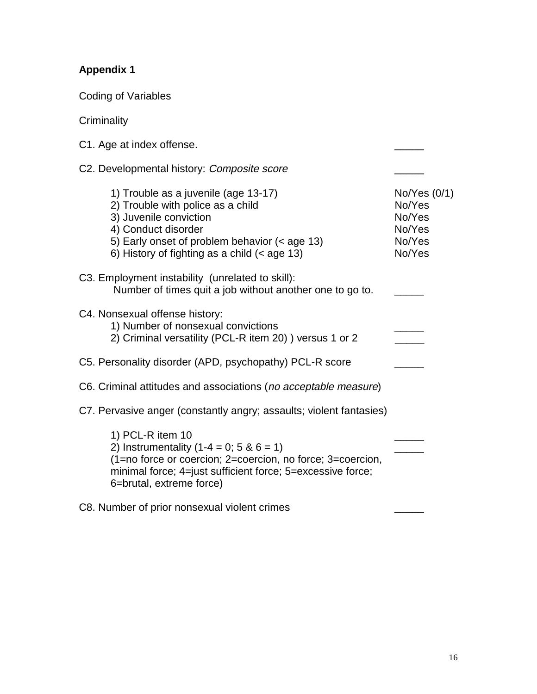# **Appendix 1**

**Criminality** 

Coding of Variables

| C1. Age at index offense.                                                                                                                                                                                                     |                                                                |
|-------------------------------------------------------------------------------------------------------------------------------------------------------------------------------------------------------------------------------|----------------------------------------------------------------|
| C2. Developmental history: Composite score                                                                                                                                                                                    |                                                                |
| 1) Trouble as a juvenile (age 13-17)<br>2) Trouble with police as a child<br>3) Juvenile conviction<br>4) Conduct disorder<br>5) Early onset of problem behavior (< age 13)<br>6) History of fighting as a child $(<$ age 13) | No/Yes (0/1)<br>No/Yes<br>No/Yes<br>No/Yes<br>No/Yes<br>No/Yes |
| C3. Employment instability (unrelated to skill):<br>Number of times quit a job without another one to go to.                                                                                                                  |                                                                |
| C4. Nonsexual offense history:<br>1) Number of nonsexual convictions<br>2) Criminal versatility (PCL-R item 20) ) versus 1 or 2                                                                                               |                                                                |
| C5. Personality disorder (APD, psychopathy) PCL-R score                                                                                                                                                                       |                                                                |
| C6. Criminal attitudes and associations (no acceptable measure)                                                                                                                                                               |                                                                |
| C7. Pervasive anger (constantly angry; assaults; violent fantasies)                                                                                                                                                           |                                                                |
| 1) PCL-R item 10<br>2) Instrumentality $(1-4 = 0; 5 \& 6 = 1)$<br>(1=no force or coercion; 2=coercion, no force; 3=coercion,<br>minimal force; 4=just sufficient force; 5=excessive force;<br>6=brutal, extreme force)        |                                                                |
| C8. Number of prior nonsexual violent crimes                                                                                                                                                                                  |                                                                |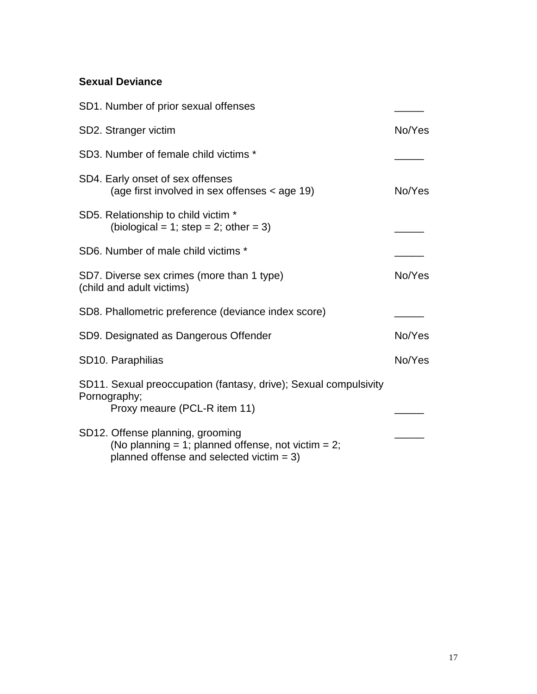## **Sexual Deviance**

| SD1. Number of prior sexual offenses                                                                                                  |        |
|---------------------------------------------------------------------------------------------------------------------------------------|--------|
| SD2. Stranger victim                                                                                                                  | No/Yes |
| SD3. Number of female child victims *                                                                                                 |        |
| SD4. Early onset of sex offenses<br>(age first involved in sex offenses < age 19)                                                     | No/Yes |
| SD5. Relationship to child victim *<br>(biological = 1; step = 2; other = 3)                                                          |        |
| SD6. Number of male child victims *                                                                                                   |        |
| SD7. Diverse sex crimes (more than 1 type)<br>(child and adult victims)                                                               | No/Yes |
| SD8. Phallometric preference (deviance index score)                                                                                   |        |
| SD9. Designated as Dangerous Offender                                                                                                 | No/Yes |
| SD10. Paraphilias                                                                                                                     | No/Yes |
| SD11. Sexual preoccupation (fantasy, drive); Sexual compulsivity<br>Pornography;<br>Proxy meaure (PCL-R item 11)                      |        |
| SD12. Offense planning, grooming<br>(No planning = 1; planned offense, not victim = 2;<br>planned offense and selected victim $= 3$ ) |        |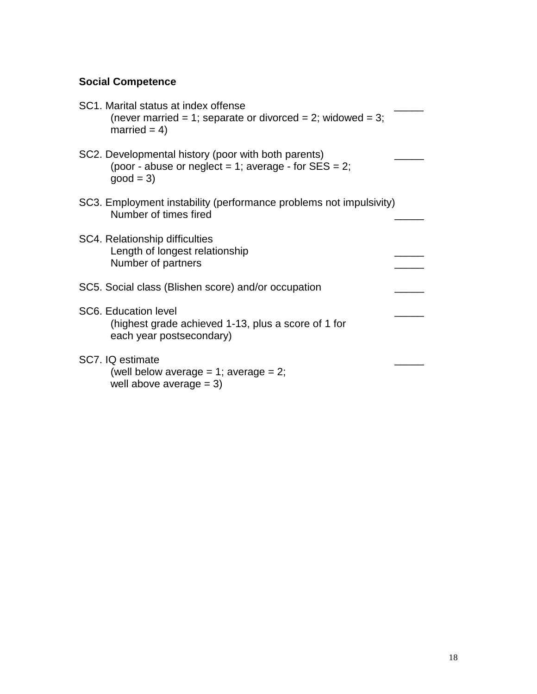# **Social Competence**

| SC1. Marital status at index offense<br>(never married = 1; separate or divorced = 2; widowed = 3;<br>married = $4$ )        |  |
|------------------------------------------------------------------------------------------------------------------------------|--|
| SC2. Developmental history (poor with both parents)<br>(poor - abuse or neglect = 1; average - for $SES = 2$ ;<br>$good = 3$ |  |
| SC3. Employment instability (performance problems not impulsivity)<br>Number of times fired                                  |  |
| SC4. Relationship difficulties<br>Length of longest relationship<br>Number of partners                                       |  |
| SC5. Social class (Blishen score) and/or occupation                                                                          |  |
| <b>SC6. Education level</b><br>(highest grade achieved 1-13, plus a score of 1 for<br>each year postsecondary)               |  |
| SC7. IQ estimate<br>(well below average = 1; average = 2;<br>well above average $= 3$ )                                      |  |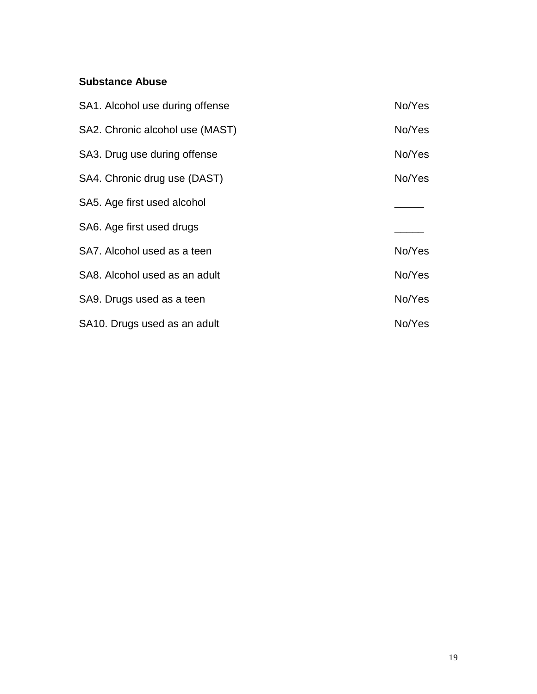## **Substance Abuse**

| SA1. Alcohol use during offense | No/Yes |
|---------------------------------|--------|
| SA2. Chronic alcohol use (MAST) | No/Yes |
| SA3. Drug use during offense    | No/Yes |
| SA4. Chronic drug use (DAST)    | No/Yes |
| SA5. Age first used alcohol     |        |
| SA6. Age first used drugs       |        |
| SA7. Alcohol used as a teen     | No/Yes |
| SA8. Alcohol used as an adult   | No/Yes |
| SA9. Drugs used as a teen       | No/Yes |
| SA10. Drugs used as an adult    | No/Yes |